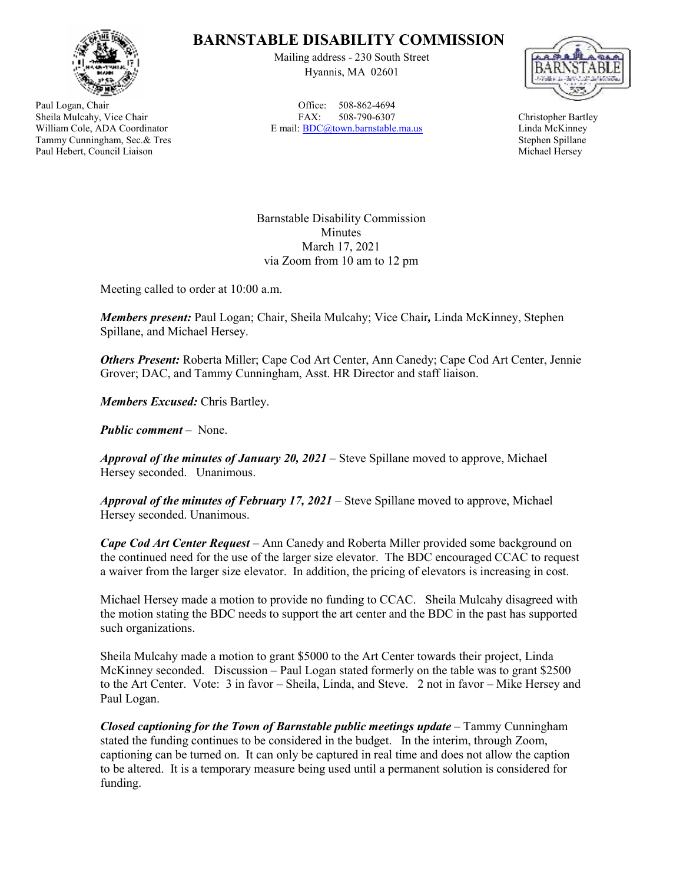

Paul Logan, Chair Sheila Mulcahy, Vice Chair William Cole, ADA Coordinator Tammy Cunningham, Sec.& Tres Paul Hebert, Council Liaison

## **BARNSTABLE DISABILITY COMMISSION**

Mailing address - 230 South Street Hyannis, MA 02601

Office: 508-862-4694 FAX: 508-790-6307 E mail: BDC@town.barnstable.ma.us



Christopher Bartley Linda McKinney Stephen Spillane Michael Hersey

Barnstable Disability Commission Minutes March 17, 2021 via Zoom from 10 am to 12 pm

Meeting called to order at 10:00 a.m.

*Members present:* Paul Logan; Chair, Sheila Mulcahy; Vice Chair*,* Linda McKinney, Stephen Spillane, and Michael Hersey.

*Others Present:* Roberta Miller; Cape Cod Art Center, Ann Canedy; Cape Cod Art Center, Jennie Grover; DAC, and Tammy Cunningham, Asst. HR Director and staff liaison.

*Members Excused:* Chris Bartley.

*Public comment* – None.

*Approval of the minutes of January 20, 2021* – Steve Spillane moved to approve, Michael Hersey seconded. Unanimous.

*Approval of the minutes of February 17, 2021* – Steve Spillane moved to approve, Michael Hersey seconded. Unanimous.

*Cape Cod Art Center Request* – Ann Canedy and Roberta Miller provided some background on the continued need for the use of the larger size elevator. The BDC encouraged CCAC to request a waiver from the larger size elevator. In addition, the pricing of elevators is increasing in cost.

Michael Hersey made a motion to provide no funding to CCAC. Sheila Mulcahy disagreed with the motion stating the BDC needs to support the art center and the BDC in the past has supported such organizations.

Sheila Mulcahy made a motion to grant \$5000 to the Art Center towards their project, Linda McKinney seconded. Discussion – Paul Logan stated formerly on the table was to grant \$2500 to the Art Center. Vote: 3 in favor – Sheila, Linda, and Steve. 2 not in favor – Mike Hersey and Paul Logan.

*Closed captioning for the Town of Barnstable public meetings update* – Tammy Cunningham stated the funding continues to be considered in the budget. In the interim, through Zoom, captioning can be turned on. It can only be captured in real time and does not allow the caption to be altered. It is a temporary measure being used until a permanent solution is considered for funding.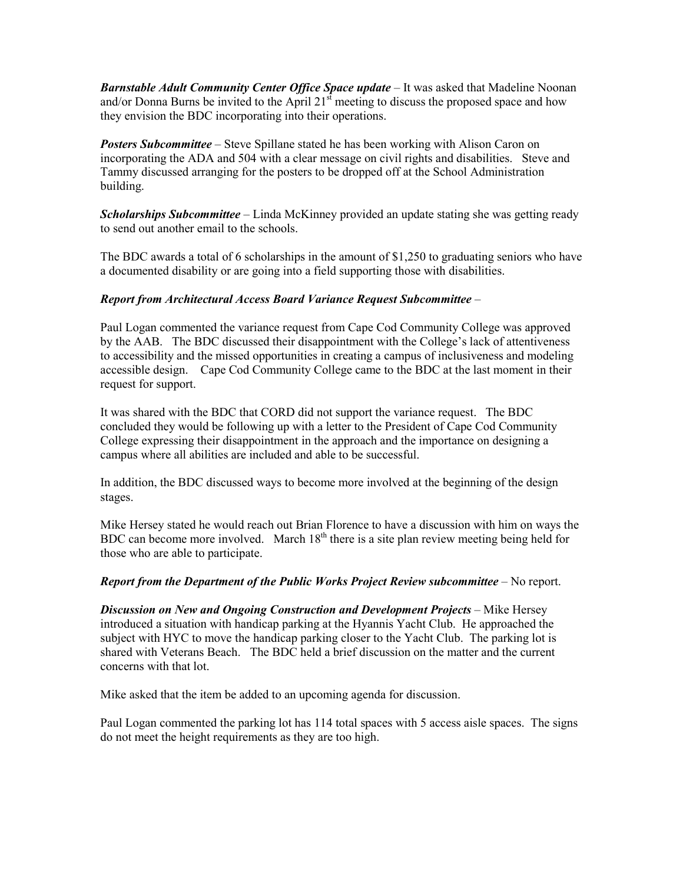*Barnstable Adult Community Center Office Space update* – It was asked that Madeline Noonan and/or Donna Burns be invited to the April  $21<sup>st</sup>$  meeting to discuss the proposed space and how they envision the BDC incorporating into their operations.

*Posters Subcommittee* – Steve Spillane stated he has been working with Alison Caron on incorporating the ADA and 504 with a clear message on civil rights and disabilities. Steve and Tammy discussed arranging for the posters to be dropped off at the School Administration building.

*Scholarships Subcommittee* – Linda McKinney provided an update stating she was getting ready to send out another email to the schools.

The BDC awards a total of 6 scholarships in the amount of \$1,250 to graduating seniors who have a documented disability or are going into a field supporting those with disabilities.

## *Report from Architectural Access Board Variance Request Subcommittee* –

Paul Logan commented the variance request from Cape Cod Community College was approved by the AAB. The BDC discussed their disappointment with the College's lack of attentiveness to accessibility and the missed opportunities in creating a campus of inclusiveness and modeling accessible design. Cape Cod Community College came to the BDC at the last moment in their request for support.

It was shared with the BDC that CORD did not support the variance request. The BDC concluded they would be following up with a letter to the President of Cape Cod Community College expressing their disappointment in the approach and the importance on designing a campus where all abilities are included and able to be successful.

In addition, the BDC discussed ways to become more involved at the beginning of the design stages.

Mike Hersey stated he would reach out Brian Florence to have a discussion with him on ways the BDC can become more involved. March  $18<sup>th</sup>$  there is a site plan review meeting being held for those who are able to participate.

## *Report from the Department of the Public Works Project Review subcommittee* – No report.

*Discussion on New and Ongoing Construction and Development Projects* – Mike Hersey introduced a situation with handicap parking at the Hyannis Yacht Club. He approached the subject with HYC to move the handicap parking closer to the Yacht Club. The parking lot is shared with Veterans Beach. The BDC held a brief discussion on the matter and the current concerns with that lot.

Mike asked that the item be added to an upcoming agenda for discussion.

Paul Logan commented the parking lot has 114 total spaces with 5 access aisle spaces. The signs do not meet the height requirements as they are too high.